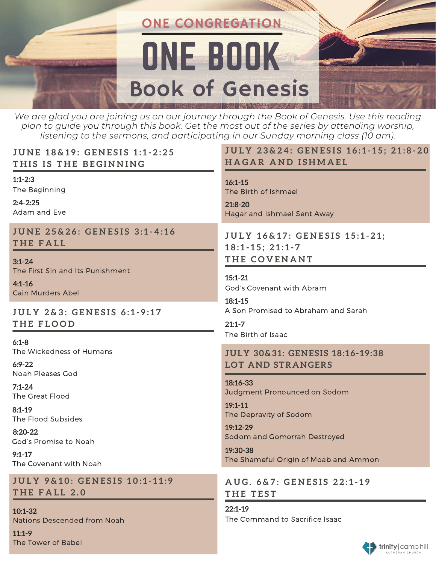

**J U N E 1 8 & 1 9 : G E N E S I S 1 : 1 - 2 : 2 5**  $THIS$  **IS THE BEGINNING 1:1-2:3** The Beginning **2:4-2:25** Adam and Eve **J U L Y 2 & 3 : G E N E S I S 6 : 1 - 9 : 1 7 T H E F L O O D 6:1-8** The Wickedness of Humans **6:9-22** Noah Pleases God **7:1-24** The Great Flood **8:1-19** The Flood Subsides **8:20-22** God's Promise to Noah **9:1-17** The Covenant with Noah **J U N E 2 5 & 2 6 : G E N E S I S 3 : 1 - 4 : 1 6 T H E F A L L 3:1-24** The First Sin and Its Punishment **4:1-16** Cain Murders Abel **J U L Y 9 & 1 0 : G E N E S I S 1 0 : 1 - 1 1 : 9 T H E F A L L 2 . 0 10:1-32 J U L Y 1 6 & 1 7 : G E N E S I S 1 5 : 1 - 2 1 ; 1 8 : 1 - 1 5 ; 2 1 : 1 - 7**  $THE$  **COVENANT 15:1-21** God's Covenant with Abram **18:1-15** A Son Promised to Abraham and Sarah **21:1-7** The Birth of Isaac **JULY 23&24: GENESIS 16:1-15: 21:8-20 H A G A R A N D I S H M A E L 16:1-15** The Birth of Ishmael **21:8-20** Hagar and Ishmael Sent Away **JULY 30&31: GENESIS 18:16-19:38 LOT AND STRANGERS 18:16-33** Judgment Pronounced on Sodom **19:1-11** The Depravity of Sodom **19:12-29** Sodom and Gomorrah Destroyed **19:30-38** The Shameful Origin of Moab and Ammon **A U G . 6 & 7 : G E N E S I S 2 2 : 1 - 1 9 T H E T E S T 22:1-19**

The Command to Sacrifice Isaac

Nations Descended from Noah

**11:1-9** The Tower of Babel

## trinity | camp hill